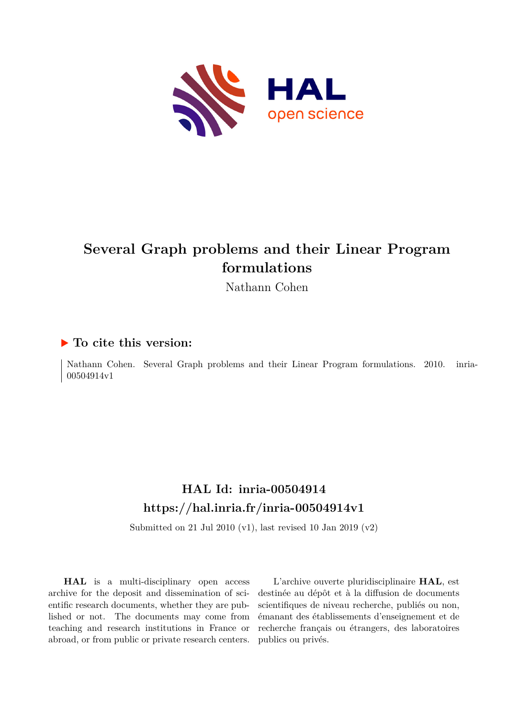

# **Several Graph problems and their Linear Program formulations**

Nathann Cohen

## **To cite this version:**

Nathann Cohen. Several Graph problems and their Linear Program formulations. 2010. inria-00504914v1

# **HAL Id: inria-00504914 <https://hal.inria.fr/inria-00504914v1>**

Submitted on 21 Jul 2010 (v1), last revised 10 Jan 2019 (v2)

**HAL** is a multi-disciplinary open access archive for the deposit and dissemination of scientific research documents, whether they are published or not. The documents may come from teaching and research institutions in France or abroad, or from public or private research centers.

L'archive ouverte pluridisciplinaire **HAL**, est destinée au dépôt et à la diffusion de documents scientifiques de niveau recherche, publiés ou non, émanant des établissements d'enseignement et de recherche français ou étrangers, des laboratoires publics ou privés.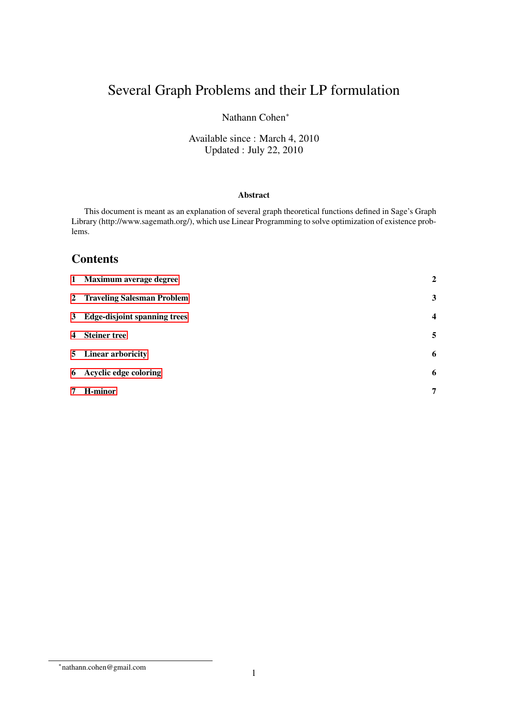# Several Graph Problems and their LP formulation

### Nathann Cohen<sup>∗</sup>

### Available since : March 4, 2010 Updated : July 22, 2010

### Abstract

This document is meant as an explanation of several graph theoretical functions defined in Sage's Graph Library (http://www.sagemath.org/), which use Linear Programming to solve optimization of existence problems.

## **Contents**

| 1 Maximum average degree       | $\overline{2}$          |
|--------------------------------|-------------------------|
| 2 Traveling Salesman Problem   | 3                       |
| 3 Edge-disjoint spanning trees | $\overline{\mathbf{4}}$ |
| 4 Steiner tree                 | 5                       |
| 5 Linear arboricity            | 6                       |
| 6 Acyclic edge coloring        | 6                       |
| 7 H-minor                      | 7                       |

<sup>∗</sup> nathann.cohen@gmail.com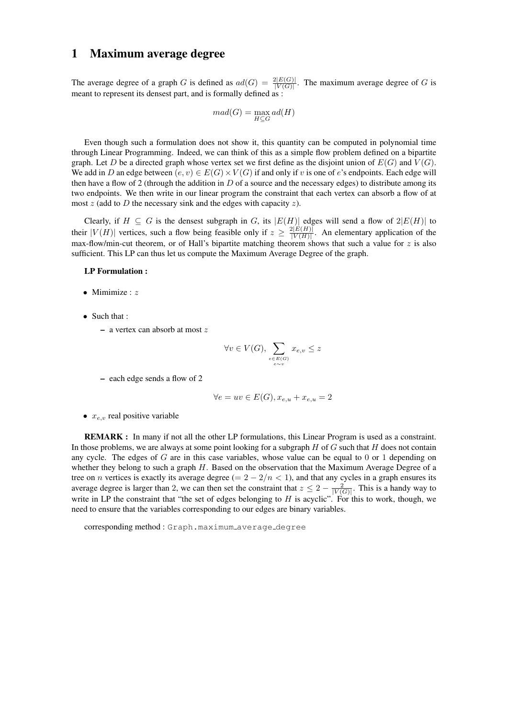### <span id="page-2-0"></span>1 Maximum average degree

The average degree of a graph G is defined as  $ad(G) = \frac{2|E(G)|}{|V(G)|}$ . The maximum average degree of G is meant to represent its densest part, and is formally defined as :

$$
mad(G) = \max_{H \subseteq G} ad(H)
$$

Even though such a formulation does not show it, this quantity can be computed in polynomial time through Linear Programming. Indeed, we can think of this as a simple flow problem defined on a bipartite graph. Let D be a directed graph whose vertex set we first define as the disjoint union of  $E(G)$  and  $V(G)$ . We add in D an edge between  $(e, v) \in E(G) \times V(G)$  if and only if v is one of e's endpoints. Each edge will then have a flow of 2 (through the addition in  $D$  of a source and the necessary edges) to distribute among its two endpoints. We then write in our linear program the constraint that each vertex can absorb a flow of at most  $z$  (add to  $D$  the necessary sink and the edges with capacity  $z$ ).

Clearly, if  $H \subseteq G$  is the densest subgraph in G, its  $|E(H)|$  edges will send a flow of  $2|E(H)|$  to their  $|V(H)|$  vertices, such a flow being feasible only if  $z \geq \frac{2|E(H)|}{|V(H)|}$  $\frac{|\mathcal{V}(H)|}{|\mathcal{V}(H)|}$ . An elementary application of the max-flow/min-cut theorem, or of Hall's bipartite matching theorem shows that such a value for  $z$  is also sufficient. This LP can thus let us compute the Maximum Average Degree of the graph.

#### LP Formulation :

- Mimimize :  $z$
- Such that :
	- a vertex can absorb at most z

$$
\forall v \in V(G), \sum_{e \in E(G) \atop e \sim v} x_{e,v} \le z
$$

– each edge sends a flow of 2

$$
\forall e = uv \in E(G), x_{e,u} + x_{e,u} = 2
$$

•  $x_{e,v}$  real positive variable

REMARK : In many if not all the other LP formulations, this Linear Program is used as a constraint. In those problems, we are always at some point looking for a subgraph  $H$  of  $G$  such that  $H$  does not contain any cycle. The edges of  $G$  are in this case variables, whose value can be equal to  $0$  or 1 depending on whether they belong to such a graph H. Based on the observation that the Maximum Average Degree of a tree on *n* vertices is exactly its average degree (=  $2 - 2/n < 1$ ), and that any cycles in a graph ensures its average degree is larger than 2, we can then set the constraint that  $z \leq 2 - \frac{2}{|V(G)|}$ . This is a handy way to write in LP the constraint that "the set of edges belonging to  $H$  is acyclic". For this to work, though, we need to ensure that the variables corresponding to our edges are binary variables.

corresponding method: Graph.maximum\_average\_degree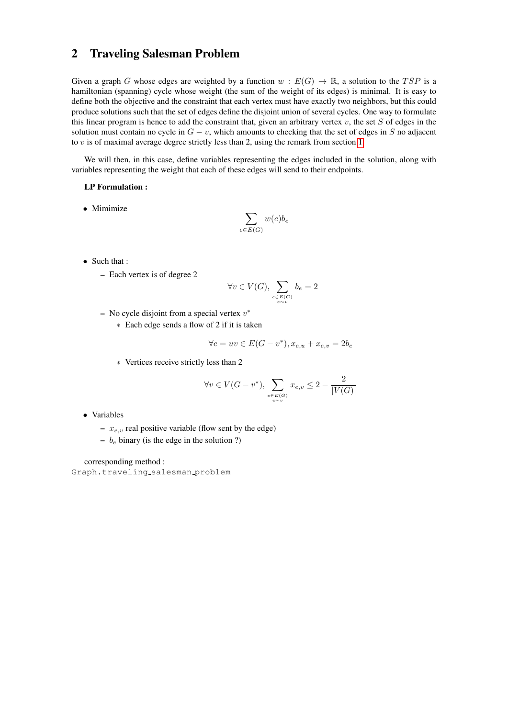### <span id="page-3-0"></span>2 Traveling Salesman Problem

Given a graph G whose edges are weighted by a function  $w : E(G) \to \mathbb{R}$ , a solution to the TSP is a hamiltonian (spanning) cycle whose weight (the sum of the weight of its edges) is minimal. It is easy to define both the objective and the constraint that each vertex must have exactly two neighbors, but this could produce solutions such that the set of edges define the disjoint union of several cycles. One way to formulate this linear program is hence to add the constraint that, given an arbitrary vertex  $v$ , the set  $S$  of edges in the solution must contain no cycle in  $G - v$ , which amounts to checking that the set of edges in S no adjacent to  $v$  is of maximal average degree strictly less than 2, using the remark from section [1.](#page-2-0)

We will then, in this case, define variables representing the edges included in the solution, along with variables representing the weight that each of these edges will send to their endpoints.

#### LP Formulation :

• Mimimize

$$
\sum_{e \in E(G)} w(e) b_e
$$

- Such that :
	- Each vertex is of degree 2

$$
\forall v \in V(G), \sum_{\substack{e \in E(G) \\ e \sim v}} b_e = 2
$$

- No cycle disjoint from a special vertex  $v^*$ 
	- ∗ Each edge sends a flow of 2 if it is taken

$$
\forall e = uv \in E(G - v^*), x_{e,u} + x_{e,v} = 2b_e
$$

∗ Vertices receive strictly less than 2

$$
\forall v \in V(G - v^*), \sum_{\substack{e \in E(G) \\ e \sim v}} x_{e,v} \le 2 - \frac{2}{|V(G)|}
$$

- Variables
	- $x_{e,v}$  real positive variable (flow sent by the edge)
	- $b_e$  binary (is the edge in the solution ?)

corresponding method :

Graph.traveling salesman problem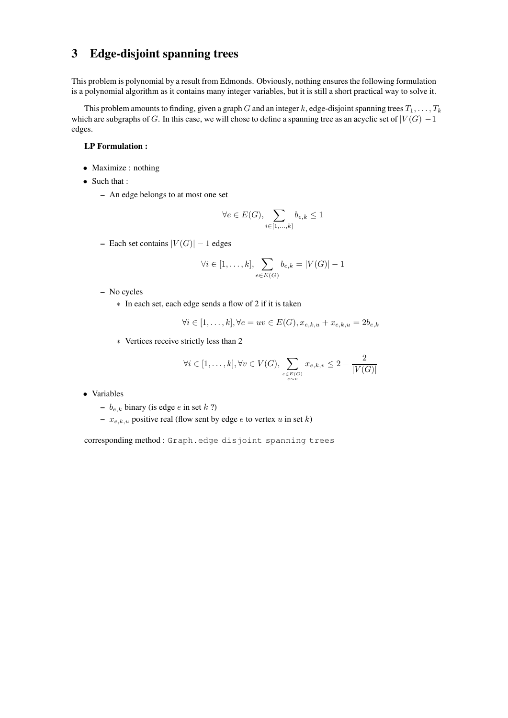# <span id="page-4-0"></span>3 Edge-disjoint spanning trees

This problem is polynomial by a result from Edmonds. Obviously, nothing ensures the following formulation is a polynomial algorithm as it contains many integer variables, but it is still a short practical way to solve it.

This problem amounts to finding, given a graph G and an integer k, edge-disjoint spanning trees  $T_1, \ldots, T_k$ which are subgraphs of G. In this case, we will chose to define a spanning tree as an acyclic set of  $|V(G)|-1$ edges.

### LP Formulation :

- Maximize : nothing
- Such that :
	- An edge belongs to at most one set

$$
\forall e \in E(G), \sum_{i \in [1,...,k]} b_{e,k} \le 1
$$

– Each set contains  $|V(G)| - 1$  edges

$$
\forall i \in [1, \ldots, k], \sum_{e \in E(G)} b_{e,k} = |V(G)| - 1
$$

- No cycles
	- ∗ In each set, each edge sends a flow of 2 if it is taken

$$
\forall i \in [1, \dots, k], \forall e = uv \in E(G), x_{e,k,u} + x_{e,k,u} = 2b_{e,k}
$$

∗ Vertices receive strictly less than 2

$$
\forall i \in [1, \ldots, k], \forall v \in V(G), \sum_{\substack{e \in E(G) \\ e \sim v}} x_{e,k,v} \leq 2 - \frac{2}{|V(G)|}
$$

- Variables
	- $b_{e,k}$  binary (is edge e in set k ?)
	- $x_{e,k,u}$  positive real (flow sent by edge e to vertex u in set k)

corresponding method : Graph.edge\_disjoint\_spanning\_trees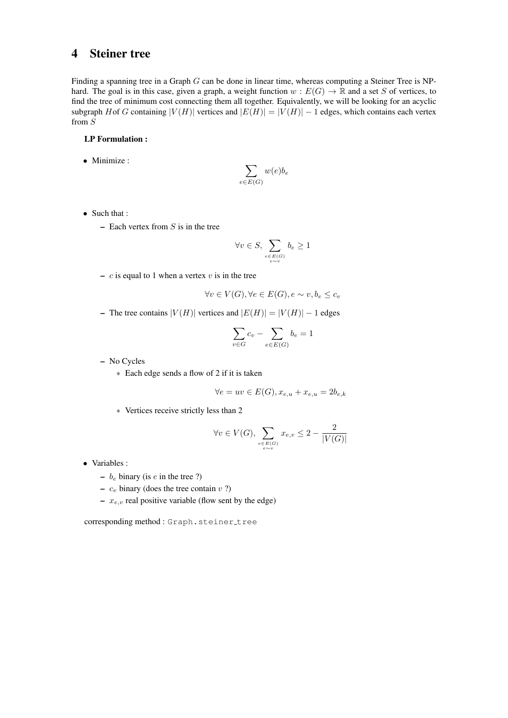### <span id="page-5-0"></span>4 Steiner tree

Finding a spanning tree in a Graph  $G$  can be done in linear time, whereas computing a Steiner Tree is NPhard. The goal is in this case, given a graph, a weight function  $w : E(G) \to \mathbb{R}$  and a set S of vertices, to find the tree of minimum cost connecting them all together. Equivalently, we will be looking for an acyclic subgraph Hof G containing  $|V(H)|$  vertices and  $|E(H)| = |V(H)| - 1$  edges, which contains each vertex from S

#### LP Formulation :

• Minimize :

$$
\sum_{e \in E(G)} w(e) b_e
$$

- Such that :
	- Each vertex from  $S$  is in the tree

$$
\forall v \in S, \sum_{\substack{e \in E(G) \\ e \sim v}} b_e \ge 1
$$

–  $c$  is equal to 1 when a vertex  $v$  is in the tree

$$
\forall v \in V(G), \forall e \in E(G), e \sim v, b_e \le c_v
$$

– The tree contains  $|V(H)|$  vertices and  $|E(H)| = |V(H)| - 1$  edges

$$
\sum_{v \in G} c_v - \sum_{e \in E(G)} b_e = 1
$$

– No Cycles

∗ Each edge sends a flow of 2 if it is taken

$$
\forall e = uv \in E(G), x_{e,u} + x_{e,u} = 2b_{e,k}
$$

∗ Vertices receive strictly less than 2

$$
\forall v \in V(G), \sum_{\substack{e \in E(G) \\ e \sim v}} x_{e,v} \le 2 - \frac{2}{|V(G)|}
$$

- Variables :
	- $b_e$  binary (is *e* in the tree ?)
	- $c_v$  binary (does the tree contain  $v$  ?)
	- $x_{e,v}$  real positive variable (flow sent by the edge)

corresponding method: Graph.steiner\_tree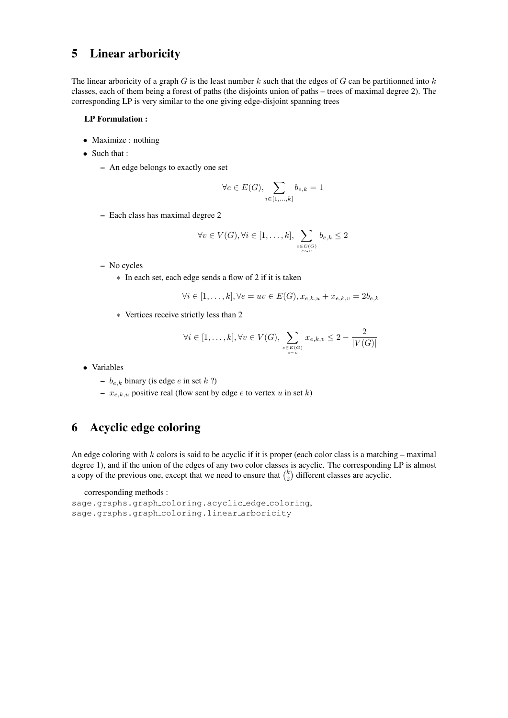# <span id="page-6-0"></span>5 Linear arboricity

The linear arboricity of a graph G is the least number k such that the edges of G can be partitionned into  $k$ classes, each of them being a forest of paths (the disjoints union of paths – trees of maximal degree 2). The corresponding LP is very similar to the one giving edge-disjoint spanning trees

#### LP Formulation :

- Maximize : nothing
- Such that :
	- An edge belongs to exactly one set

$$
\forall e \in E(G), \sum_{i \in [1,...,k]} b_{e,k} = 1
$$

– Each class has maximal degree 2

$$
\forall v \in V(G), \forall i \in [1, \ldots, k], \sum_{\substack{e \in E(G) \\ e \sim v}} b_{e,k} \le 2
$$

- No cycles
	- ∗ In each set, each edge sends a flow of 2 if it is taken

$$
\forall i \in [1, \ldots, k], \forall e = uv \in E(G), x_{e,k,u} + x_{e,k,v} = 2b_{e,k}
$$

∗ Vertices receive strictly less than 2

$$
\forall i \in [1, \dots, k], \forall v \in V(G), \sum_{e \in E(G) \atop e \sim v} x_{e,k,v} \le 2 - \frac{2}{|V(G)|}
$$

• Variables

–  $b_{e,k}$  binary (is edge e in set k ?)

–  $x_{e,k,u}$  positive real (flow sent by edge e to vertex u in set k)

## <span id="page-6-1"></span>6 Acyclic edge coloring

An edge coloring with  $k$  colors is said to be acyclic if it is proper (each color class is a matching – maximal degree 1), and if the union of the edges of any two color classes is acyclic. The corresponding LP is almost a copy of the previous one, except that we need to ensure that  $\binom{k}{2}$  $\binom{k}{2}$  different classes are acyclic.

corresponding methods :

```
sage.graphs.graph coloring.acyclic edge coloring,
sage.graphs.graph_coloring.linear_arboricity
```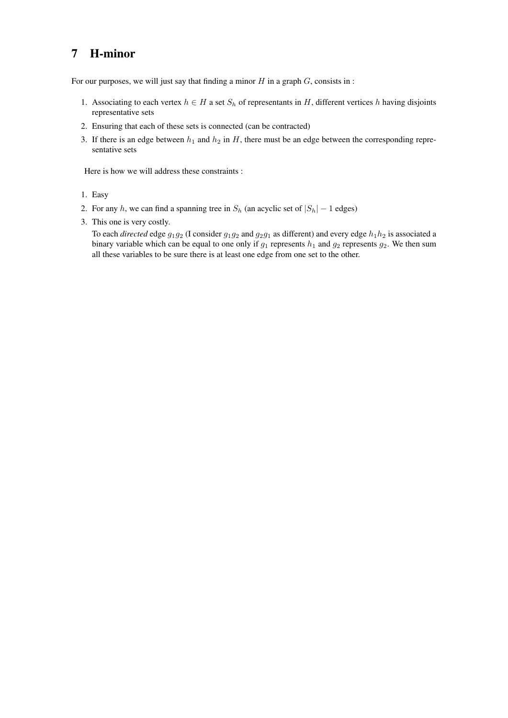# <span id="page-7-0"></span>7 H-minor

For our purposes, we will just say that finding a minor  $H$  in a graph  $G$ , consists in :

- 1. Associating to each vertex  $h \in H$  a set  $S_h$  of representants in H, different vertices h having disjoints representative sets
- 2. Ensuring that each of these sets is connected (can be contracted)
- 3. If there is an edge between  $h_1$  and  $h_2$  in  $H$ , there must be an edge between the corresponding representative sets

Here is how we will address these constraints :

- 1. Easy
- 2. For any h, we can find a spanning tree in  $S_h$  (an acyclic set of  $|S_h| 1$  edges)
- 3. This one is very costly.

To each *directed* edge  $g_1g_2$  (I consider  $g_1g_2$  and  $g_2g_1$  as different) and every edge  $h_1h_2$  is associated a binary variable which can be equal to one only if  $g_1$  represents  $h_1$  and  $g_2$  represents  $g_2$ . We then sum all these variables to be sure there is at least one edge from one set to the other.